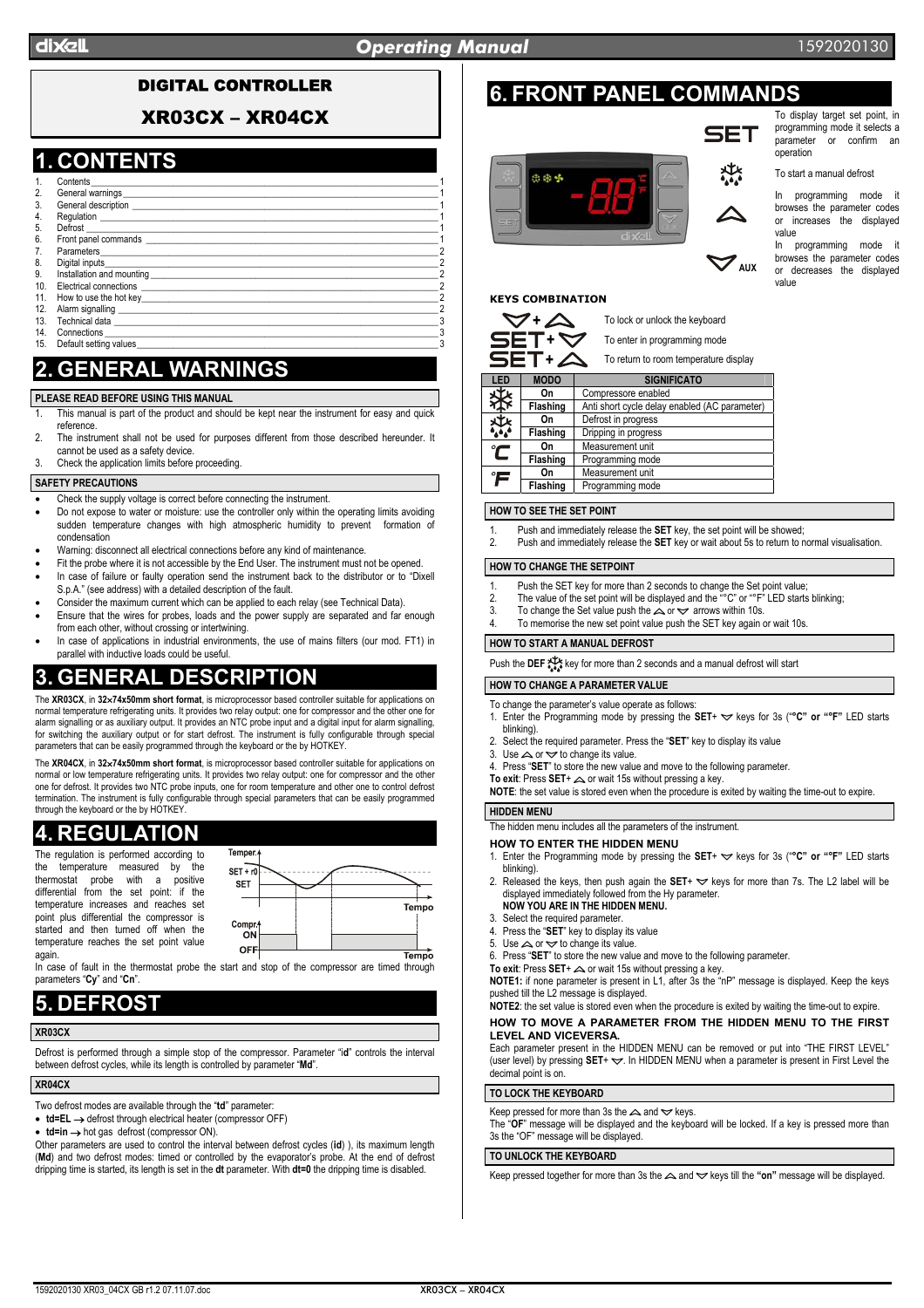### DIGITAL CONTROLLER

XR03CX – XR04CX

## **1. CONTENTS**

- 1. Contents\_\_\_\_\_\_\_\_\_\_\_\_\_\_\_\_\_\_\_\_\_\_\_\_\_\_\_\_\_\_\_\_\_\_\_\_\_\_\_\_\_\_\_\_\_\_\_\_\_\_\_\_\_\_\_\_\_\_\_\_\_\_\_\_\_\_\_\_\_\_\_\_\_\_\_\_ 1 General warnings General description<br>Requlation 4. Regulation \_\_\_\_\_\_\_\_\_\_\_\_\_\_\_\_\_\_\_\_\_\_\_\_\_\_\_\_\_\_\_\_\_\_\_\_\_\_\_\_\_\_\_\_\_\_\_\_\_\_\_\_\_\_\_\_\_\_\_\_\_\_\_\_\_\_\_\_\_\_\_\_\_\_ 1 5. Defrost \_\_\_\_\_\_\_\_\_\_\_\_\_\_\_\_\_\_\_\_\_\_\_\_\_\_\_\_\_\_\_\_\_\_\_\_\_\_\_\_\_\_\_\_\_\_\_\_\_\_\_\_\_\_\_\_\_\_\_\_\_\_\_\_\_\_\_\_\_\_\_\_\_\_\_\_\_ 1 6. Front panel commands<br>7 Parameters 7. Parameters\_\_\_\_\_\_\_\_\_\_\_\_\_\_\_\_\_\_\_\_\_\_\_\_\_\_\_\_\_\_\_\_\_\_\_\_\_\_\_\_\_\_\_\_\_\_\_\_\_\_\_\_\_\_\_\_\_\_\_\_\_\_\_\_\_\_\_\_\_\_\_\_\_\_ 2 8. Digital inputs\_\_\_\_\_\_\_\_\_\_\_\_\_\_\_\_\_\_\_\_\_\_\_\_\_\_\_\_\_\_\_\_\_\_\_\_\_\_\_\_\_\_\_\_\_\_\_\_\_\_\_\_\_\_\_\_\_\_\_\_\_\_\_\_\_\_\_\_\_\_\_\_\_ 2 9. Installation and mounting<br>10 Electrical connections 10. Electrical connections \_\_\_\_\_\_\_\_\_\_\_\_\_\_\_\_\_\_\_\_\_\_\_\_\_\_\_\_\_\_\_\_\_\_\_\_\_\_\_\_\_\_\_\_\_\_\_\_\_\_\_\_\_\_\_\_\_\_\_\_\_\_\_\_\_ 2 11. How to use the hot key\_\_\_\_\_\_\_\_\_\_\_\_\_\_\_\_\_\_\_\_\_\_\_\_\_\_\_\_\_\_\_\_\_\_\_\_\_\_\_\_\_\_\_\_\_\_\_\_\_\_\_\_\_\_\_\_\_\_\_\_\_\_\_\_\_ 2 12. Alarm signalling<br>13. Technical data
- 13. Technical data  $\frac{3}{2}$
- 14. Connections \_\_\_\_\_\_\_\_\_\_\_\_\_\_\_\_\_\_\_\_\_\_\_\_\_\_\_\_\_\_\_\_\_\_\_\_\_\_\_\_\_\_\_\_\_\_\_\_\_\_\_\_\_\_\_\_\_\_\_\_\_\_\_\_\_\_\_\_\_\_\_\_\_ 3 15. Default setting values and the setting values of the set of the set of the set of the set of the set of the set of the set of the set of the set of the set of the set of the set of the set of the set of the set of the

# **2. GENERAL WARNINGS**

#### **PLEASE READ BEFORE USING THIS MANUAL**

- This manual is part of the product and should be kept near the instrument for easy and quick reference.
- 2. The instrument shall not be used for purposes different from those described hereunder. It cannot be used as a safety device.
- Check the application limits before proceeding.

#### **SAFETY PRECAUTIONS**

- Check the supply voltage is correct before connecting the instrument.
- Do not expose to water or moisture: use the controller only within the operating limits avoiding sudden temperature changes with high atmospheric humidity to prevent formation of condensation
- Warning: disconnect all electrical connections before any kind of maintenance.
- Fit the probe where it is not accessible by the End User. The instrument must not be opened. In case of failure or faulty operation send the instrument back to the distributor or to "Dixell S.p.A." (see address) with a detailed description of the fault.
- Consider the maximum current which can be applied to each relay (see Technical Data).
- Ensure that the wires for probes, loads and the power supply are separated and far enough from each other, without crossing or intertwining.
- In case of applications in industrial environments, the use of mains filters (our mod. FT1) in parallel with inductive loads could be useful.

# **3. GENERAL DESCRIPTION**

The **XR03CX**, in **32**×**74x50mm short format**, is microprocessor based controller suitable for applications on normal temperature refrigerating units. It provides two relay output: one for compressor and the other one for alarm signalling or as auxiliary output. It provides an NTC probe input and a digital input for alarm signalling, for switching the auxiliary output or for start defrost. The instrument is fully configurable through special parameters that can be easily programmed through the keyboard or the by HOTKEY.

The **XR04CX**, in **32**×**74x50mm short format**, is microprocessor based controller suitable for applications on normal or low temperature refrigerating units. It provides two relay output: one for compressor and the other one for defrost. It provides two NTC probe inputs, one for room temperature and other one to control defrost termination. The instrument is fully configurable through special parameters that can be easily programmed through the keyboard or the by HOTKEY.

# **4. REGULATION**

The regulation is performed according to the temperature measured by the<br>thermostat probe with a positive probe with a differential from the set point: if the temperature increases and reaches set point plus differential the compressor is started and then turned off when the temperature reaches the set point value again.



In case of fault in the thermostat probe the start and stop of the compressor are timed through parameters "**Cy**" and "**Cn**".

# **5. DEFROST**

#### **XR03CX**

Defrost is performed through a simple stop of the compressor. Parameter "i**d**" controls the interval between defrost cycles, while its length is controlled by parameter "**Md**".

#### **XR04CX**

Two defrost modes are available through the "**td**" parameter:

- **td=EL** → defrost through electrical heater (compressor OFF)
- **td=in** → hot gas defrost (compressor ON).

Other parameters are used to control the interval between defrost cycles (**id**) ), its maximum length (**Md**) and two defrost modes: timed or controlled by the evaporator's probe. At the end of defrost dripping time is started, its length is set in the **dt** parameter. With **dt=0** the dripping time is disabled.

# **6. FRONT PANEL COMMANDS**



#### To display target set point, in programming mode it selects a parameter or confirm an operation

To start a manual defrost

In programming mode it browses the parameter codes or increases the displayed value

In programming mode it browses the parameter codes or decreases the displayed value

### **KEYS COMBINATION**



| SET+A<br>To return to room temperature display |             |                                               |  |  |  |
|------------------------------------------------|-------------|-----------------------------------------------|--|--|--|
| LED                                            | <b>MODO</b> | <b>SIGNIFICATO</b>                            |  |  |  |
| 戏                                              | On          | Compressore enabled                           |  |  |  |
| ጅ                                              | Flashing    | Anti short cycle delay enabled (AC parameter) |  |  |  |
| 煤                                              | On          | Defrost in progress                           |  |  |  |
|                                                | Flashing    | Dripping in progress                          |  |  |  |
| $\tilde{\mathbf{C}}$                           | On          | Measurement unit                              |  |  |  |
|                                                | Flashing    | Programming mode                              |  |  |  |
| $\mathcal{F}$                                  | On          | Measurement unit                              |  |  |  |
|                                                | Flashing    | Programming mode                              |  |  |  |

#### **HOW TO SEE THE SET POINT**

- 1. Push and immediately release the **SET** key, the set point will be showed;
- 2. Push and immediately release the **SET** key or wait about 5s to return to normal visualisation.

#### **HOW TO CHANGE THE SETPOINT**

- Push the SET key for more than 2 seconds to change the Set point value;
- 2. The value of the set point will be displayed and the "°C" or "°F" LED starts blinking;
- 3. To change the Set value push the  $\triangle$  or  $\triangle$  arrows within 10s.
- To memorise the new set point value push the SET key again or wait 10s.

### **HOW TO START A MANUAL DEFROST**

Push the **DEF** key for more than 2 seconds and a manual defrost will start

#### **HOW TO CHANGE A PARAMETER VALUE**

- To change the parameter's value operate as follows:
- 1. Enter the Programming mode by pressing the SET+  $\blacktriangledown$  keys for 3s ("°C" or "°F" LED starts blinking).
- 2. Select the required parameter. Press the "**SET**" key to display its value
- 3. Use  $\triangle$  or  $\overrightarrow{ }$  to change its value.
- 4. Press "**SET**" to store the new value and move to the following parameter.
- To exit: Press SET+  $\triangle$  or wait 15s without pressing a key.
- **NOTE**: the set value is stored even when the procedure is exited by waiting the time-out to expire.

### **HIDDEN MENU**

The hidden menu includes all the parameters of the instrument.

**HOW TO ENTER THE HIDDEN MENU** 

- 1. Enter the Programming mode by pressing the SET+  $\leq$  keys for 3s ("°C" or "°F" LED starts blinking).
- 2. Released the keys, then push again the **SET**+  $\blacktriangledown$  keys for more than 7s. The L2 label will be displayed immediately followed from the Hy parameter. **NOW YOU ARE IN THE HIDDEN MENU.**
- 3. Select the required parameter.
- 4. Press the "**SET**" key to display its value
- 5. Use  $\triangle$  or  $\triangle$  to change its value.
- 6. Press "**SET**" to store the new value and move to the following parameter.
- **To exit:** Press **SET**+  $\triangle$  or wait 15s without pressing a key.

**NOTE1:** if none parameter is present in L1, after 3s the "nP" message is displayed. Keep the keys pushed till the L2 message is displayed.

#### **NOTE2**: the set value is stored even when the procedure is exited by waiting the time-out to expire. **HOW TO MOVE A PARAMETER FROM THE HIDDEN MENU TO THE FIRST LEVEL AND VICEVERSA.**

Each parameter present in the HIDDEN MENU can be removed or put into "THE FIRST LEVEL" (user level) by pressing  $SET + \nabla$ . In HIDDEN MENU when a parameter is present in First Level the decimal point is on.

#### **TO LOCK THE KEYBOARD**

Keep pressed for more than 3s the  $\triangle$  and  $\blacktriangledown$  keys.

The "**OF**" message will be displayed and the keyboard will be locked. If a key is pressed more than 3s the "OF" message will be displayed.

#### **TO UNLOCK THE KEYBOARD**

Keep pressed together for more than 3s the  $\triangle$  and  $\triangledown$  keys till the "on" message will be displayed.

 $\mathbf{z}$  aux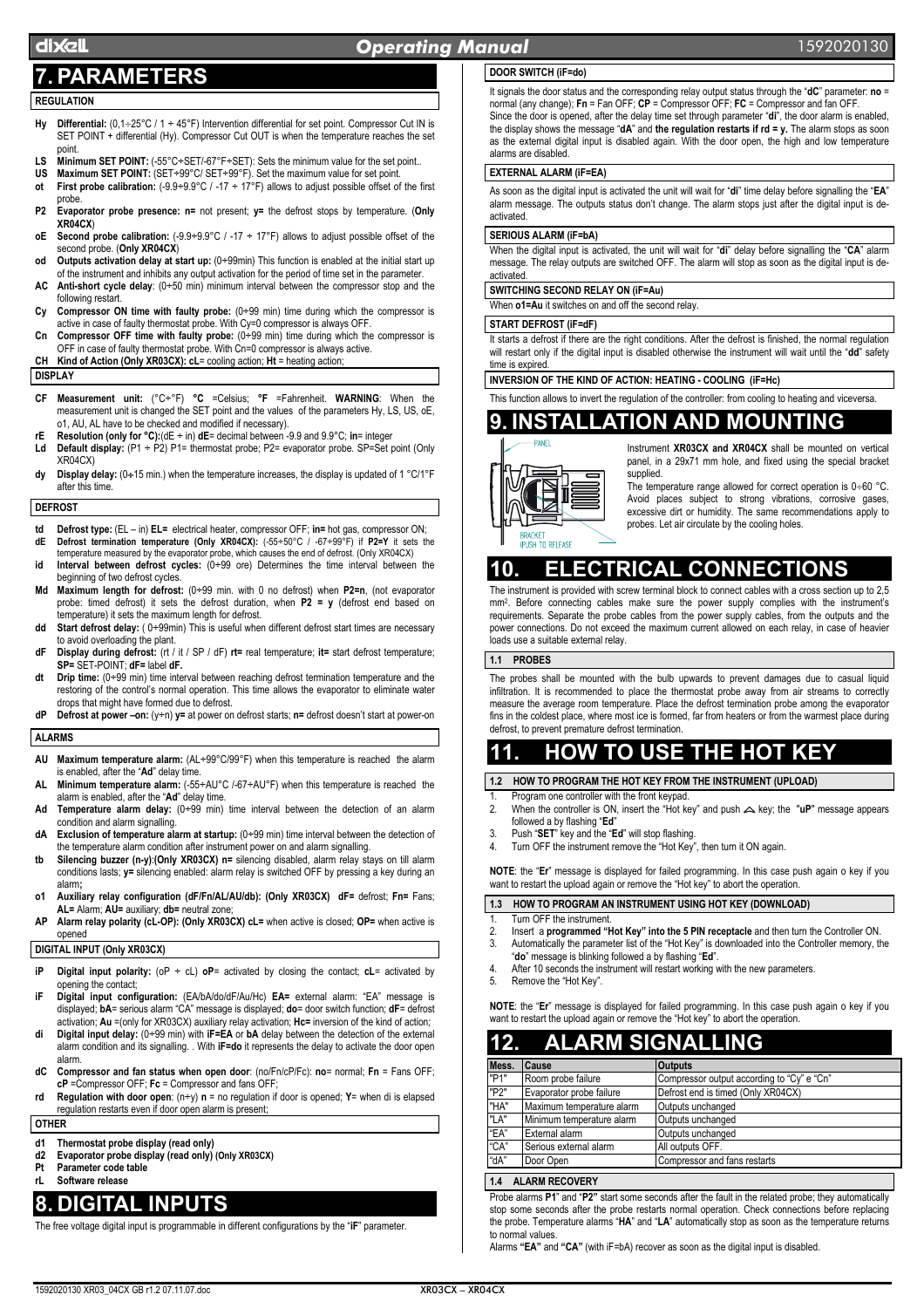### dIXEL *Operating Manual* 1592020130

# **7. PARAMETERS**

### **REGULATION**

- **Hy Differential:** (0,1÷25°C / 1 ÷ 45°F) Intervention differential for set point. Compressor Cut IN is SET POINT + differential (Hy). Compressor Cut OUT is when the temperature reaches the set point.
- LS Minimum SET POINT: (-55°C÷SET/-67°F÷SET): Sets the minimum value for the set point..
- **US Maximum SET POINT:** (SET÷99°C/ SET÷99°F). Set the maximum value for set point.
- **ot First probe calibration:** (-9.9÷9.9°C / -17 ÷ 17°F) allows to adjust possible offset of the first probe.
- **P2 Evaporator probe presence: n=** not present; **y=** the defrost stops by temperature. (**Only XR04CX**)
- **oE** Second probe calibration:  $(-9.9 \div 9.9^{\circ} \text{C}$  /  $-17 \div 17^{\circ} \text{F})$  allows to adjust possible offset of the second probe. (**Only XR04CX**)
- **od Outputs activation delay at start up:** (0÷99min) This function is enabled at the initial start up of the instrument and inhibits any output activation for the period of time set in the parameter.
- **AC Anti-short cycle delay**: (0÷50 min) minimum interval between the compressor stop and the following restart.
- **Cy Compressor ON time with faulty probe:** (0÷99 min) time during which the compressor is active in case of faulty thermostat probe. With Cy=0 compressor is always OFF.
- **Cn Compressor OFF time with faulty probe:** (0÷99 min) time during which the compressor is OFF in case of faulty thermostat probe. With Cn=0 compressor is always active.
- **CH Kind of Action (Only XR03CX): cL**= cooling action; **Ht** = heating action;

#### **DISPLAY**

- **CF Measurement unit:** (°C÷°F) **°C** =Celsius; **°F** =Fahrenheit. **WARNING**: When the measurement unit is changed the SET point and the values of the parameters Hy, LS, US, oE, o1, AU, AL have to be checked and modified if necessary).
- **rE Resolution (only for °C):**(dE ÷ in) **dE**= decimal between -9.9 and 9.9°C; **in**= integer **Ld Default display:** (P1 ÷ P2) P1= thermostat probe; P2= evaporator probe. SP=Set point (Only
- XR04CX) **dy Display delay:** (0÷15 min.) when the temperature increases, the display is updated of 1 °C/1°F
- after this time.

#### **DEFROST**

- **td Defrost type:** (EL in) **EL=** electrical heater, compressor OFF; **in=** hot gas, compressor ON; **dE Defrost termination temperature (Only XR04CX):** (-55÷50°C / -67÷99°F) if **P2=Y** it sets the temperature measured by the evaporator probe, which causes the end of defrost. (Only XR04CX)
- **id Interval between defrost cycles:** (0÷99 ore) Determines the time interval between the beginning of two defrost cycles.
- **Md Maximum length for defrost:** (0÷99 min. with 0 no defrost) when **P2=n**, (not evaporator probe: timed defrost) it sets the defrost duration, when **P2 = y** (defrost end based on temperature) it sets the maximum length for defrost.
- **dd Start defrost delay:** ( 0÷99min) This is useful when different defrost start times are necessary to avoid overloading the plant.
- **dF Display during defrost:** (rt / it / SP / dF) **rt=** real temperature; **it=** start defrost temperature; **SP=** SET-POINT; **dF=** label **dF.**
- **dt Drip time:** (0÷99 min) time interval between reaching defrost termination temperature and the restoring of the control's normal operation. This time allows the evaporator to eliminate water drops that might have formed due to defrost.
- **dP Defrost at power –on:** (y÷n) **y=** at power on defrost starts; **n=** defrost doesn't start at power-on

#### **ALARMS**

- **AU Maximum temperature alarm:** (AL÷99°C/99°F) when this temperature is reached the alarm is enabled, after the "**Ad**" delay time.
- **AL Minimum temperature alarm:** (-55÷AU°C /-67÷AU°F) when this temperature is reached the alarm is enabled, after the "**Ad**" delay time.
- **Ad Temperature alarm delay:** (0÷99 min) time interval between the detection of an alarm condition and alarm signalling.
- **dA Exclusion of temperature alarm at startup:** (0÷99 min) time interval between the detection of the temperature alarm condition after instrument power on and alarm signalling.
- **tb Silencing buzzer (n-y)**:**(Only XR03CX) n=** silencing disabled, alarm relay stays on till alarm conditions lasts; **y=** silencing enabled: alarm relay is switched OFF by pressing a key during an alarm**;**
- **o1 Auxiliary relay configuration (dF/Fn/AL/AU/db): (Only XR03CX) dF=** defrost; **Fn=** Fans; **AL=** Alarm; **AU=** auxiliary; **db=** neutral zone;
- **AP Alarm relay polarity (cL-OP): (Only XR03CX) cL=** when active is closed; **OP=** when active is opened

#### **DIGITAL INPUT (Only XR03CX)**

- **iP Digital input polarity:** (oP ÷ cL) **oP**= activated by closing the contact; **cL**= activated by opening the contact;
- **iF Digital input configuration:** (EA/bA/do/dF/Au/Hc) **EA=** external alarm: "EA" message is displayed; **bA**= serious alarm "CA" message is displayed; **do**= door switch function; **dF**= defrost activation; **Au** =(only for XR03CX) auxiliary relay activation; **Hc=** inversion of the kind of action;
- **di Digital input delay:** (0÷99 min) with **iF=EA** or **bA** delay between the detection of the external alarm condition and its signalling. . With **iF=do** it represents the delay to activate the door open alarm.
- **dC Compressor and fan status when open door**: (no/Fn/cP/Fc): **no**= normal; **Fn** = Fans OFF; **cP** =Compressor OFF; **Fc** = Compressor and fans OFF;
- **rd Regulation with door open**: (n÷y) **n** = no regulation if door is opened; **Y**= when di is elapsed regulation restarts even if door open alarm is present;

#### **OTHER**

- **d1 Thermostat probe display (read only)**
- **d2 Evaporator probe display (read only) (Only XR03CX)**
- **Parameter code table rL Software release**

## **8. DIGITAL INPUTS**

The free voltage digital input is programmable in different configurations by the "**iF**" parameter.

### **DOOR SWITCH (iF=do)**

It signals the door status and the corresponding relay output status through the "**dC**" parameter: **no** = normal (any change); **Fn** = Fan OFF; **CP** = Compressor OFF; **FC** = Compressor and fan OFF. Since the door is opened, after the delay time set through parameter "**di**", the door alarm is enabled, the display shows the message "**dA**" and **the regulation restarts if rd = y.** The alarm stops as soon as the external digital input is disabled again. With the door open, the high and low temperature alarms are disabled.

#### **EXTERNAL ALARM (iF=EA)**

As soon as the digital input is activated the unit will wait for "**di**" time delay before signalling the "**EA**" alarm message. The outputs status don't change. The alarm stops just after the digital input is deactivated.

#### **SERIOUS ALARM (iF=bA)**

When the digital input is activated, the unit will wait for "**di**" delay before signalling the "**CA**" alarm message. The relay outputs are switched OFF. The alarm will stop as soon as the digital input is deactivated.

#### **SWITCHING SECOND RELAY ON (iF=Au)**

When **o1=Au** it switches on and off the second relay.

#### **START DEFROST (iF=dF)**

It starts a defrost if there are the right conditions. After the defrost is finished, the normal regulation will restart only if the digital input is disabled otherwise the instrument will wait until the "**dd**" safety time is expire

#### **INVERSION OF THE KIND OF ACTION: HEATING - COOLING (iF=Hc)**

This function allows to invert the regulation of the controller: from cooling to heating and viceversa.

## **9. INSTALLATION AND MOUNTING**



Instrument **XR03CX and XR04CX** shall be mounted on vertical panel, in a 29x71 mm hole, and fixed using the special bracket supplied.

The temperature range allowed for correct operation is  $0 \div 60$  °C. Avoid places subject to strong vibrations, corrosive gases, excessive dirt or humidity. The same recommendations apply to probes. Let air circulate by the cooling holes.

# **10. ELECTRICAL CONNECT**

The instrument is provided with screw terminal block to connect cables with a cross section up to 2,5 mm2. Before connecting cables make sure the power supply complies with the instrument's requirements. Separate the probe cables from the power supply cables, from the outputs and the power connections. Do not exceed the maximum current allowed on each relay, in case of heavier loads use a suitable external relay.

#### **1.1 PROBES**

The probes shall be mounted with the bulb upwards to prevent damages due to casual liquid infiltration. It is recommended to place the thermostat probe away from air streams to correctly measure the average room temperature. Place the defrost termination probe among the evaporator fins in the coldest place, where most ice is formed, far from heaters or from the warmest place during defrost, to prevent premature defrost termination.

# **11. HOW TO USE THE HOT KEY**

**1.2 HOW TO PROGRAM THE HOT KEY FROM THE INSTRUMENT (UPLOAD)** 

- Program one controller with the front keypad.
- 2. When the controller is ON, insert the "Hot key" and push  $\triangle$  key; the "uP" message appears followed a by flashing "**Ed**"
- 3. Push "**SET**" key and the "**Ed**" will stop flashing.
- 4. Turn OFF the instrument remove the "Hot Key", then turn it ON again.

**NOTE**: the "**Er**" message is displayed for failed programming. In this case push again o key if you want to restart the upload again or remove the "Hot key" to abort the operation.

#### **1.3 HOW TO PROGRAM AN INSTRUMENT USING HOT KEY (DOWNLOAD)**

- 1. Turn OFF the instrument.<br>2. Insert a **programmed** "I
- 2. Insert a **programmed "Hot Key" into the 5 PIN receptacle** and then turn the Controller ON. 3. Automatically the parameter list of the "Hot Key" is downloaded into the Controller memory, the
- "**do**" message is blinking followed a by flashing "**Ed**".
- 4. After 10 seconds the instrument will restart working with the new parameters.<br>5. Remove the "Hot Key" Remove the "Hot Key".
- 

**NOTE**: the "**Er**" message is displayed for failed programming. In this case push again o key if you want to restart the upload again or remove the "Hot key" to abort the operation.

| 1       | <b>AL</b> | <b>LARM SIGNALLING</b> |
|---------|-----------|------------------------|
|         |           |                        |
| $M - -$ |           |                        |

| Mess. | <b>Cause</b>              | <b>Outputs</b>                             |
|-------|---------------------------|--------------------------------------------|
| "P1"  | Room probe failure        | Compressor output according to "Cy" e "Cn" |
| "P2"  | Evaporator probe failure  | Defrost end is timed (Only XR04CX)         |
| "HA"  | Maximum temperature alarm | Outputs unchanged                          |
| "LA"  | Minimum temperature alarm | Outputs unchanged                          |
| "EA"  | External alarm            | Outputs unchanged                          |
| "CA"  | Serious external alarm    | All outputs OFF.                           |
| "dA"  | Door Open                 | Compressor and fans restarts               |
|       |                           |                                            |

### **1.4 ALARM RECOVERY**

Probe alarms **P1**" and "**P2"** start some seconds after the fault in the related probe; they automatically stop some seconds after the probe restarts normal operation. Check connections before replacing the probe. Temperature alarms "**HA**" and "**LA**" automatically stop as soon as the temperature returns to normal values.

Alarms **"EA"** and **"CA"** (with iF=bA) recover as soon as the digital input is disabled.